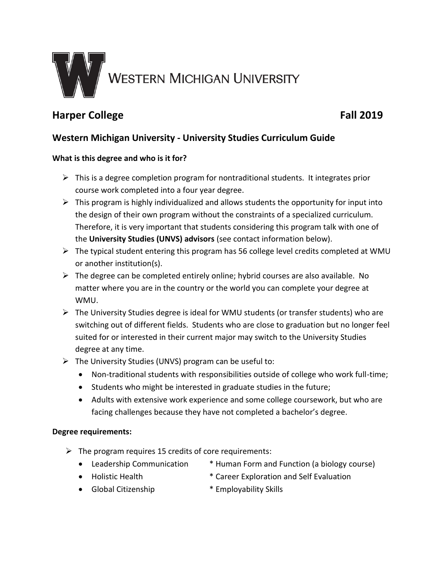

# **Harper College Fall 2019**

## **Western Michigan University - University Studies Curriculum Guide**

### **What is this degree and who is it for?**

- $\triangleright$  This is a degree completion program for nontraditional students. It integrates prior course work completed into a four year degree.
- $\triangleright$  This program is highly individualized and allows students the opportunity for input into the design of their own program without the constraints of a specialized curriculum. Therefore, it is very important that students considering this program talk with one of the **University Studies (UNVS) advisors** (see contact information below).
- $\triangleright$  The typical student entering this program has 56 college level credits completed at WMU or another institution(s).
- $\triangleright$  The degree can be completed entirely online; hybrid courses are also available. No matter where you are in the country or the world you can complete your degree at WMU.
- $\triangleright$  The University Studies degree is ideal for WMU students (or transfer students) who are switching out of different fields. Students who are close to graduation but no longer feel suited for or interested in their current major may switch to the University Studies degree at any time.
- $\triangleright$  The University Studies (UNVS) program can be useful to:
	- Non-traditional students with responsibilities outside of college who work full-time;
	- Students who might be interested in graduate studies in the future;
	- Adults with extensive work experience and some college coursework, but who are facing challenges because they have not completed a bachelor's degree.

### **Degree requirements:**

- $\triangleright$  The program requires 15 credits of core requirements:
	-
	- Leadership Communication \* Human Form and Function (a biology course)
	- Holistic Health \* Career Exploration and Self Evaluation
		-
	- Global Citizenship \* Employability Skills
		-